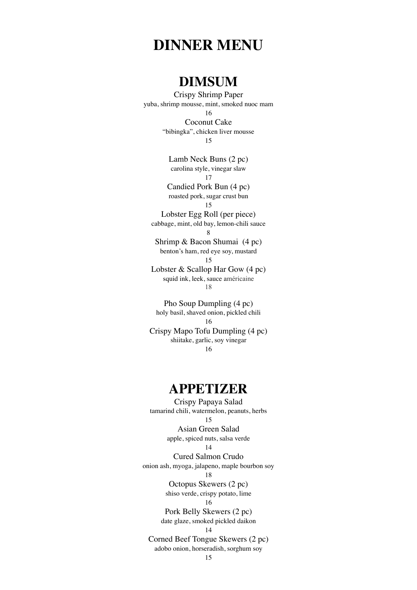# **DINNER MENU**

## **DIMSUM**

Crispy Shrimp Paper yuba, shrimp mousse, mint, smoked nuoc mam 16 Coconut Cake "bibingka", chicken liver mousse

15

Lamb Neck Buns (2 pc) carolina style, vinegar slaw 17 Candied Pork Bun (4 pc) roasted pork, sugar crust bun 15 Lobster Egg Roll (per piece) cabbage, mint, old bay, lemon-chili sauce 8 Shrimp & Bacon Shumai (4 pc) benton's ham, red eye soy, mustard 15 Lobster & Scallop Har Gow (4 pc) squid ink, leek, sauce américaine 18

Pho Soup Dumpling (4 pc) holy basil, shaved onion, pickled chili 16 Crispy Mapo Tofu Dumpling (4 pc) shiitake, garlic, soy vinegar 16

## **APPETIZER**

Crispy Papaya Salad tamarind chili, watermelon, peanuts, herbs 15 Asian Green Salad apple, spiced nuts, salsa verde 14 Cured Salmon Crudo onion ash, myoga, jalapeno, maple bourbon soy 18 Octopus Skewers (2 pc) shiso verde, crispy potato, lime 16 Pork Belly Skewers (2 pc) date glaze, smoked pickled daikon 14 Corned Beef Tongue Skewers (2 pc) adobo onion, horseradish, sorghum soy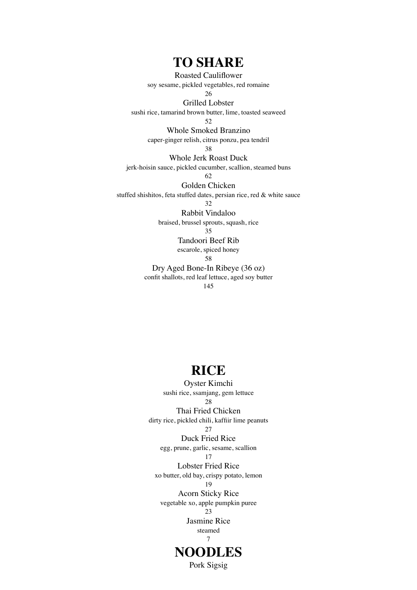**TO SHARE**

Roasted Cauliflower

soy sesame, pickled vegetables, red romaine

26

Grilled Lobster sushi rice, tamarind brown butter, lime, toasted seaweed

52

Whole Smoked Branzino caper-ginger relish, citrus ponzu, pea tendril

38

Whole Jerk Roast Duck

jerk-hoisin sauce, pickled cucumber, scallion, steamed buns

62

Golden Chicken

stuffed shishitos, feta stuffed dates, persian rice, red & white sauce

32

Rabbit Vindaloo

braised, brussel sprouts, squash, rice

35

Tandoori Beef Rib escarole, spiced honey

58

Dry Aged Bone-In Ribeye (36 oz)

confit shallots, red leaf lettuce, aged soy butter

145

## **RICE**

Oyster Kimchi sushi rice, ssamjang, gem lettuce 28 Thai Fried Chicken dirty rice, pickled chili, kaffiir lime peanuts 27 Duck Fried Rice egg, prune, garlic, sesame, scallion 17 Lobster Fried Rice xo butter, old bay, crispy potato, lemon 19 Acorn Sticky Rice vegetable xo, apple pumpkin puree 23 Jasmine Rice steamed 7 **NOODLES** Pork Sigsig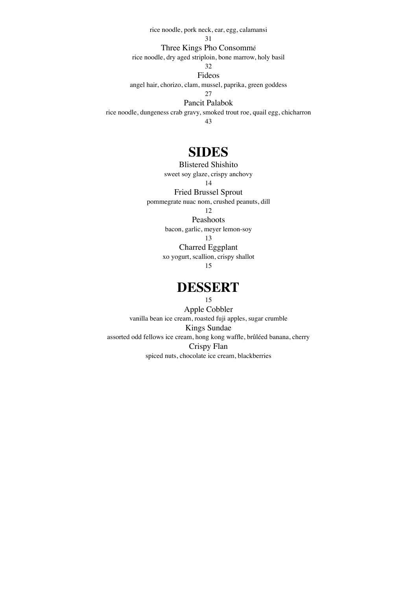rice noodle, pork neck, ear, egg, calamansi

31

Three Kings Pho Consommé

rice noodle, dry aged striploin, bone marrow, holy basil

32

Fideos

angel hair, chorizo, clam, mussel, paprika, green goddess

27

Pancit Palabok rice noodle, dungeness crab gravy, smoked trout roe, quail egg, chicharron 43

# **SIDES**

#### Blistered Shishito

sweet soy glaze, crispy anchovy

14

Fried Brussel Sprout pommegrate nuac nom, crushed peanuts, dill

12

Peashoots

bacon, garlic, meyer lemon-soy

13

Charred Eggplant xo yogurt, scallion, crispy shallot

15

# **DESSERT**

15

Apple Cobbler vanilla bean ice cream, roasted fuji apples, sugar crumble Kings Sundae assorted odd fellows ice cream, hong kong waffle, brûléed banana, cherry Crispy Flan spiced nuts, chocolate ice cream, blackberries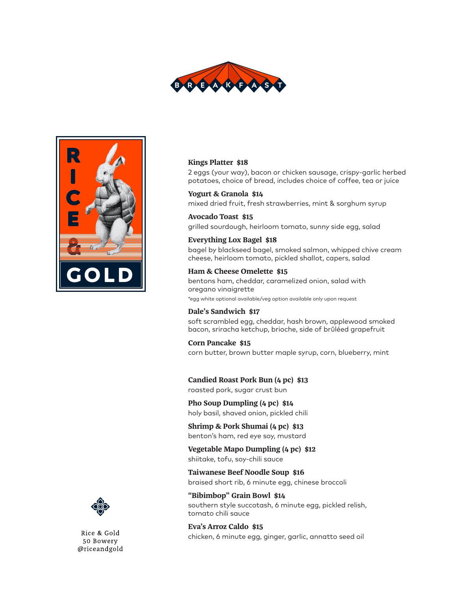



#### **Kings Platter \$18**

2 eggs (your way), bacon or chicken sausage, crispy-garlic herbed potatoes, choice of bread, includes choice of coffee, tea or juice

#### **Yogurt & Granola \$14**

mixed dried fruit, fresh strawberries, mint & sorghum syrup

#### **Avocado Toast \$15**

grilled sourdough, heirloom tomato, sunny side egg, salad

#### **Everything Lox Bagel \$18**

bagel by blackseed bagel, smoked salmon, whipped chive cream cheese, heirloom tomato, pickled shallot, capers, salad

#### **Ham & Cheese Omelette \$15**

bentons ham, cheddar, caramelized onion, salad with oregano vinaigrette \*egg white optional available/veg option available only upon request

**Dale's Sandwich \$17** soft scrambled egg, cheddar, hash brown, applewood smoked bacon, sriracha ketchup, brioche, side of brûléed grapefruit

**Corn Pancake \$15** corn butter, brown butter maple syrup, corn, blueberry, mint

#### **Candied Roast Pork Bun (4 pc) \$13**

roasted pork, sugar crust bun

**Pho Soup Dumpling (4 pc) \$14** holy basil, shaved onion, pickled chili

**Shrimp & Pork Shumai (4 pc) \$13** benton's ham, red eye soy, mustard

**Vegetable Mapo Dumpling (4 pc) \$12** shiitake, tofu, soy-chili sauce

**Taiwanese Beef Noodle Soup \$16** braised short rib, 6 minute egg, chinese broccoli

**"Bibimbop" Grain Bowl \$14** southern style succotash, 6 minute egg, pickled relish, tomato chili sauce

**Eva's Arroz Caldo \$15** chicken, 6 minute egg, ginger, garlic, annatto seed oil



Rice & Gold 50 Bowery @riceandgold